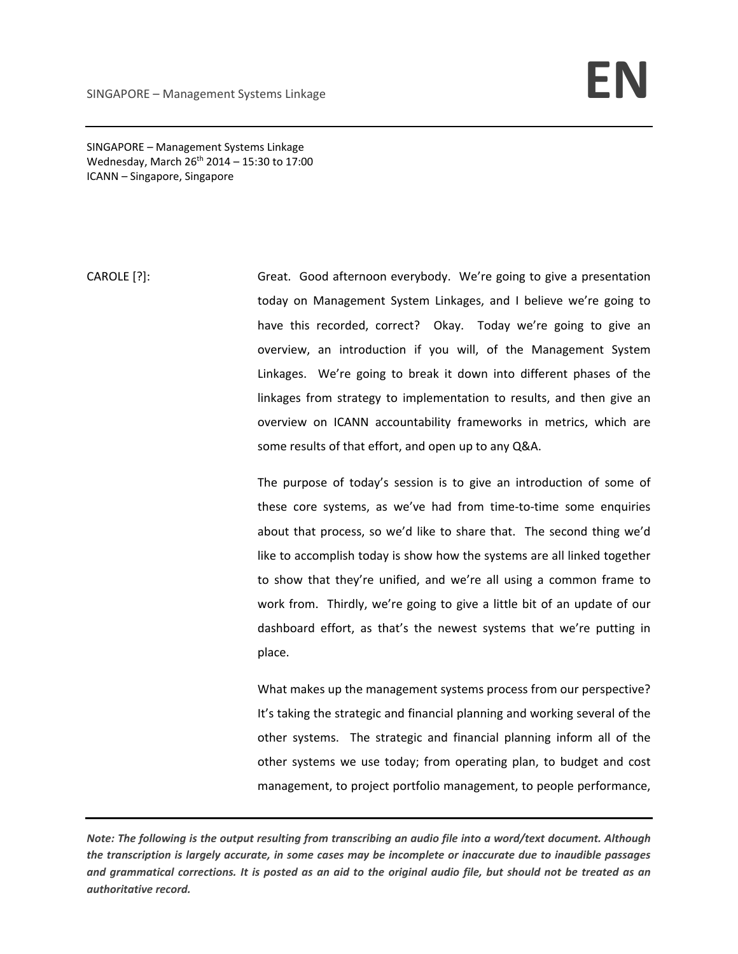SINGAPORE – Management Systems Linkage Wednesday, March  $26^{th}$  2014 – 15:30 to 17:00 ICANN – Singapore, Singapore

CAROLE [?]: Great. Good afternoon everybody. We're going to give a presentation today on Management System Linkages, and I believe we're going to have this recorded, correct? Okay. Today we're going to give an overview, an introduction if you will, of the Management System Linkages. We're going to break it down into different phases of the linkages from strategy to implementation to results, and then give an overview on ICANN accountability frameworks in metrics, which are some results of that effort, and open up to any Q&A.

> The purpose of today's session is to give an introduction of some of these core systems, as we've had from time‐to‐time some enquiries about that process, so we'd like to share that. The second thing we'd like to accomplish today is show how the systems are all linked together to show that they're unified, and we're all using a common frame to work from. Thirdly, we're going to give a little bit of an update of our dashboard effort, as that's the newest systems that we're putting in place.

> What makes up the management systems process from our perspective? It's taking the strategic and financial planning and working several of the other systems. The strategic and financial planning inform all of the other systems we use today; from operating plan, to budget and cost management, to project portfolio management, to people performance,

Note: The following is the output resulting from transcribing an audio file into a word/text document. Although the transcription is largely accurate, in some cases may be incomplete or inaccurate due to inaudible passages and grammatical corrections. It is posted as an aid to the original audio file, but should not be treated as an *authoritative record.*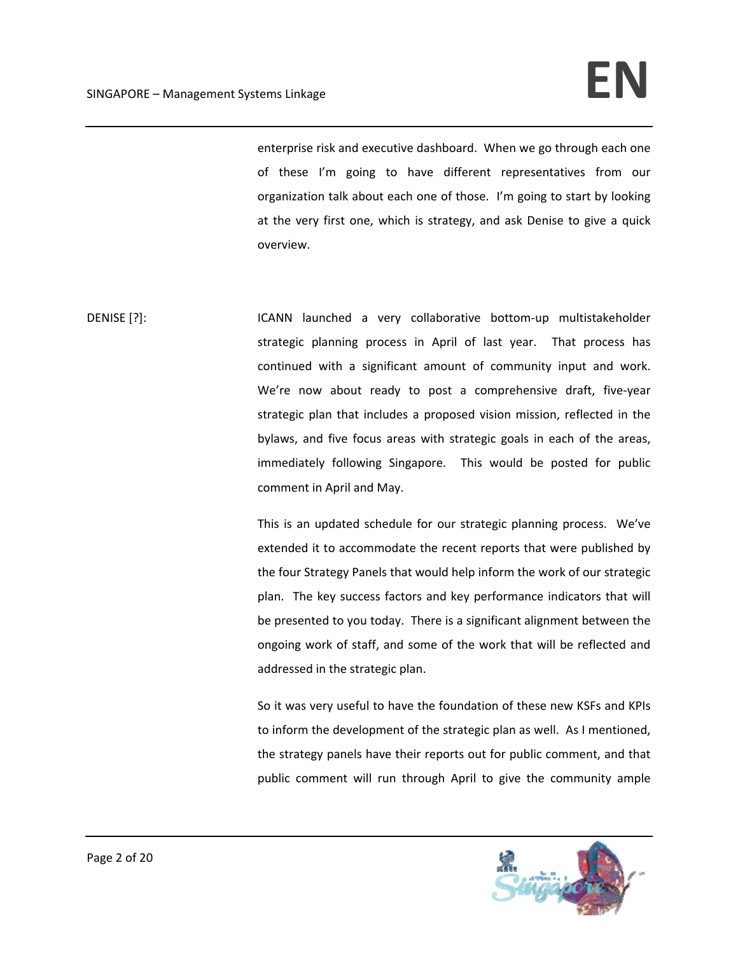## SINGAPORE – Management Systems Linkage **Internal of the Set of Analytic Set of Analytic Set of Analytic Set of A**

enterprise risk and executive dashboard. When we go through each one of these I'm going to have different representatives from our organization talk about each one of those. I'm going to start by looking at the very first one, which is strategy, and ask Denise to give a quick overview.

DENISE [?]: ICANN launched a very collaborative bottom-up multistakeholder strategic planning process in April of last year. That process has continued with a significant amount of community input and work. We're now about ready to post a comprehensive draft, five-year strategic plan that includes a proposed vision mission, reflected in the bylaws, and five focus areas with strategic goals in each of the areas, immediately following Singapore. This would be posted for public comment in April and May.

> This is an updated schedule for our strategic planning process. We've extended it to accommodate the recent reports that were published by the four Strategy Panels that would help inform the work of our strategic plan. The key success factors and key performance indicators that will be presented to you today. There is a significant alignment between the ongoing work of staff, and some of the work that will be reflected and addressed in the strategic plan.

> So it was very useful to have the foundation of these new KSFs and KPIs to inform the development of the strategic plan as well. As I mentioned, the strategy panels have their reports out for public comment, and that public comment will run through April to give the community ample

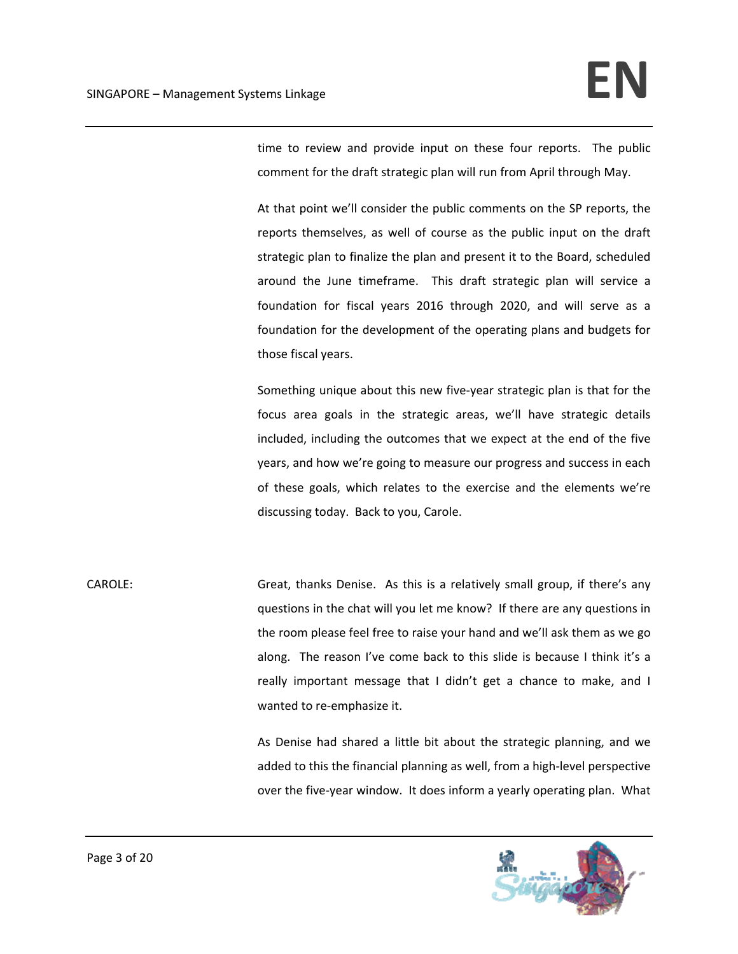time to review and provide input on these four reports. The public comment for the draft strategic plan will run from April through May.

At that point we'll consider the public comments on the SP reports, the reports themselves, as well of course as the public input on the draft strategic plan to finalize the plan and present it to the Board, scheduled around the June timeframe. This draft strategic plan will service a foundation for fiscal years 2016 through 2020, and will serve as a foundation for the development of the operating plans and budgets for those fiscal years.

Something unique about this new five‐year strategic plan is that for the focus area goals in the strategic areas, we'll have strategic details included, including the outcomes that we expect at the end of the five years, and how we're going to measure our progress and success in each of these goals, which relates to the exercise and the elements we're discussing today. Back to you, Carole.

CAROLE: Great, thanks Denise. As this is a relatively small group, if there's any questions in the chat will you let me know? If there are any questions in the room please feel free to raise your hand and we'll ask them as we go along. The reason I've come back to this slide is because I think it's a really important message that I didn't get a chance to make, and I wanted to re-emphasize it.

> As Denise had shared a little bit about the strategic planning, and we added to this the financial planning as well, from a high‐level perspective over the five‐year window. It does inform a yearly operating plan. What

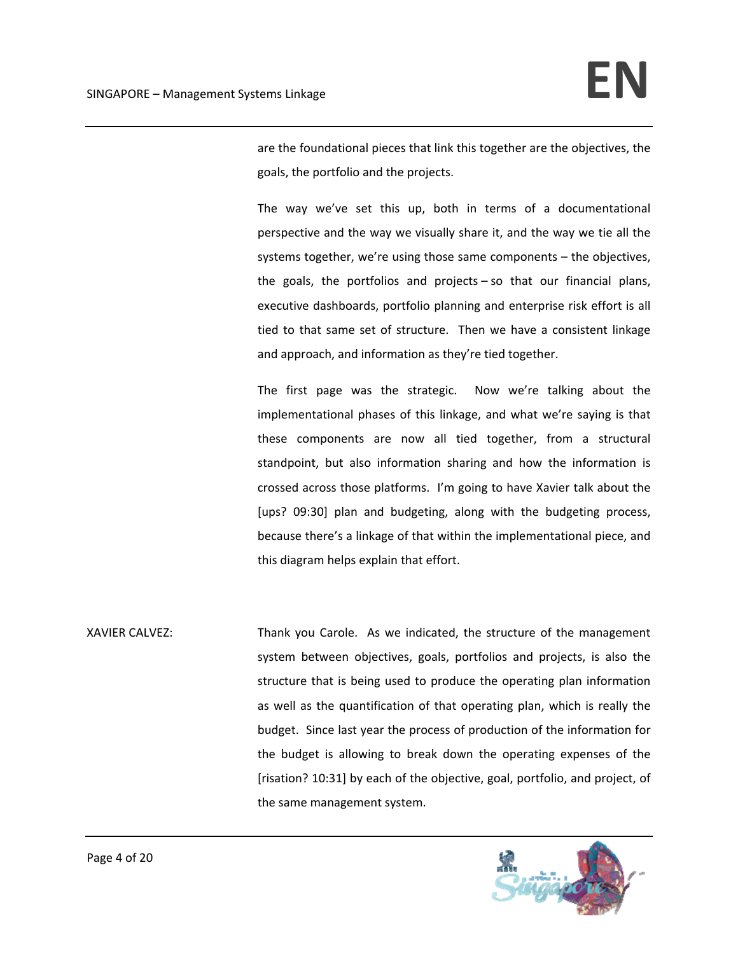are the foundational pieces that link this together are the objectives, the goals, the portfolio and the projects.

The way we've set this up, both in terms of a documentational perspective and the way we visually share it, and the way we tie all the systems together, we're using those same components – the objectives, the goals, the portfolios and projects – so that our financial plans, executive dashboards, portfolio planning and enterprise risk effort is all tied to that same set of structure. Then we have a consistent linkage and approach, and information as they're tied together.

The first page was the strategic. Now we're talking about the implementational phases of this linkage, and what we're saying is that these components are now all tied together, from a structural standpoint, but also information sharing and how the information is crossed across those platforms. I'm going to have Xavier talk about the [ups? 09:30] plan and budgeting, along with the budgeting process, because there's a linkage of that within the implementational piece, and this diagram helps explain that effort.

XAVIER CALVEZ: Thank you Carole. As we indicated, the structure of the management system between objectives, goals, portfolios and projects, is also the structure that is being used to produce the operating plan information as well as the quantification of that operating plan, which is really the budget. Since last year the process of production of the information for the budget is allowing to break down the operating expenses of the [risation? 10:31] by each of the objective, goal, portfolio, and project, of the same management system.

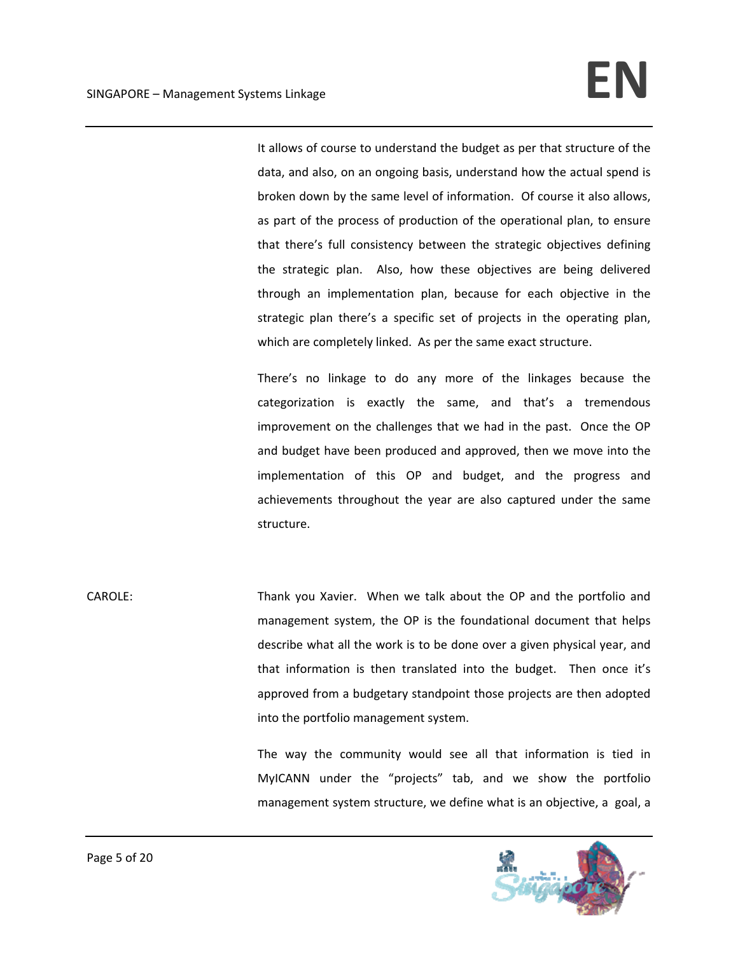It allows of course to understand the budget as per that structure of the data, and also, on an ongoing basis, understand how the actual spend is broken down by the same level of information. Of course it also allows, as part of the process of production of the operational plan, to ensure that there's full consistency between the strategic objectives defining the strategic plan. Also, how these objectives are being delivered through an implementation plan, because for each objective in the strategic plan there's a specific set of projects in the operating plan, which are completely linked. As per the same exact structure.

There's no linkage to do any more of the linkages because the categorization is exactly the same, and that's a tremendous improvement on the challenges that we had in the past. Once the OP and budget have been produced and approved, then we move into the implementation of this OP and budget, and the progress and achievements throughout the year are also captured under the same structure.

CAROLE: Thank you Xavier. When we talk about the OP and the portfolio and management system, the OP is the foundational document that helps describe what all the work is to be done over a given physical year, and that information is then translated into the budget. Then once it's approved from a budgetary standpoint those projects are then adopted into the portfolio management system.

> The way the community would see all that information is tied in MyICANN under the "projects" tab, and we show the portfolio management system structure, we define what is an objective, a goal, a

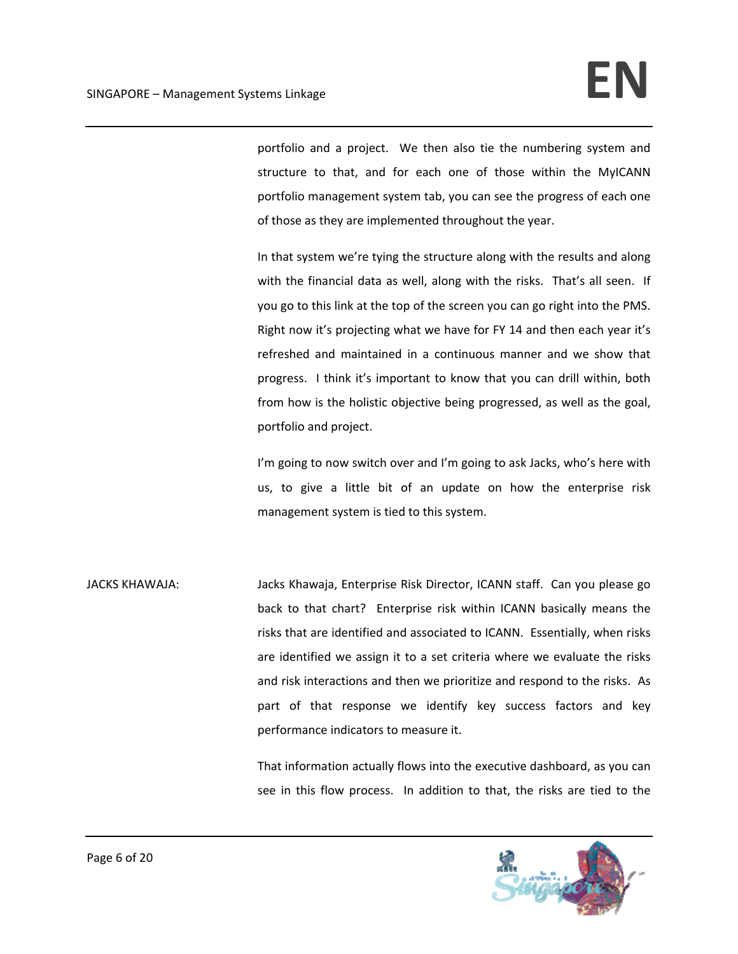portfolio and a project. We then also tie the numbering system and structure to that, and for each one of those within the MyICANN portfolio management system tab, you can see the progress of each one of those as they are implemented throughout the year.

In that system we're tying the structure along with the results and along with the financial data as well, along with the risks. That's all seen. If you go to this link at the top of the screen you can go right into the PMS. Right now it's projecting what we have for FY 14 and then each year it's refreshed and maintained in a continuous manner and we show that progress. I think it's important to know that you can drill within, both from how is the holistic objective being progressed, as well as the goal, portfolio and project.

I'm going to now switch over and I'm going to ask Jacks, who's here with us, to give a little bit of an update on how the enterprise risk management system is tied to this system.

JACKS KHAWAJA: Jacks Khawaja, Enterprise Risk Director, ICANN staff. Can you please go back to that chart? Enterprise risk within ICANN basically means the risks that are identified and associated to ICANN. Essentially, when risks are identified we assign it to a set criteria where we evaluate the risks and risk interactions and then we prioritize and respond to the risks. As part of that response we identify key success factors and key performance indicators to measure it.

> That information actually flows into the executive dashboard, as you can see in this flow process. In addition to that, the risks are tied to the

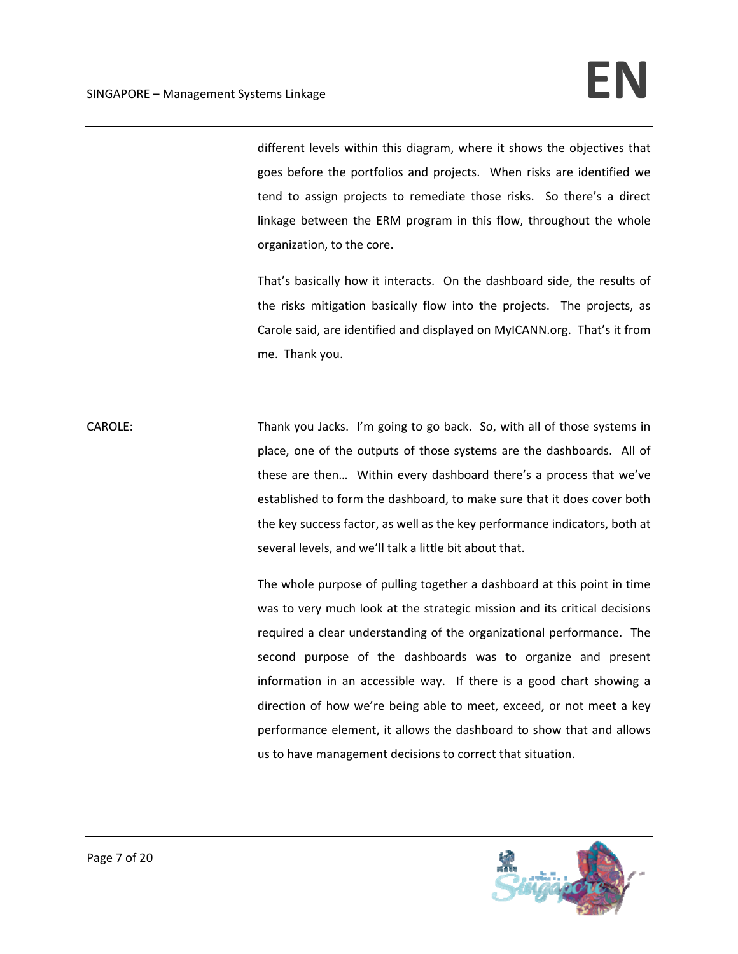different levels within this diagram, where it shows the objectives that goes before the portfolios and projects. When risks are identified we tend to assign projects to remediate those risks. So there's a direct linkage between the ERM program in this flow, throughout the whole organization, to the core.

That's basically how it interacts. On the dashboard side, the results of the risks mitigation basically flow into the projects. The projects, as Carole said, are identified and displayed on MyICANN.org. That's it from me. Thank you.

CAROLE: Thank you Jacks. I'm going to go back. So, with all of those systems in place, one of the outputs of those systems are the dashboards. All of these are then… Within every dashboard there's a process that we've established to form the dashboard, to make sure that it does cover both the key success factor, as well as the key performance indicators, both at several levels, and we'll talk a little bit about that.

> The whole purpose of pulling together a dashboard at this point in time was to very much look at the strategic mission and its critical decisions required a clear understanding of the organizational performance. The second purpose of the dashboards was to organize and present information in an accessible way. If there is a good chart showing a direction of how we're being able to meet, exceed, or not meet a key performance element, it allows the dashboard to show that and allows us to have management decisions to correct that situation.

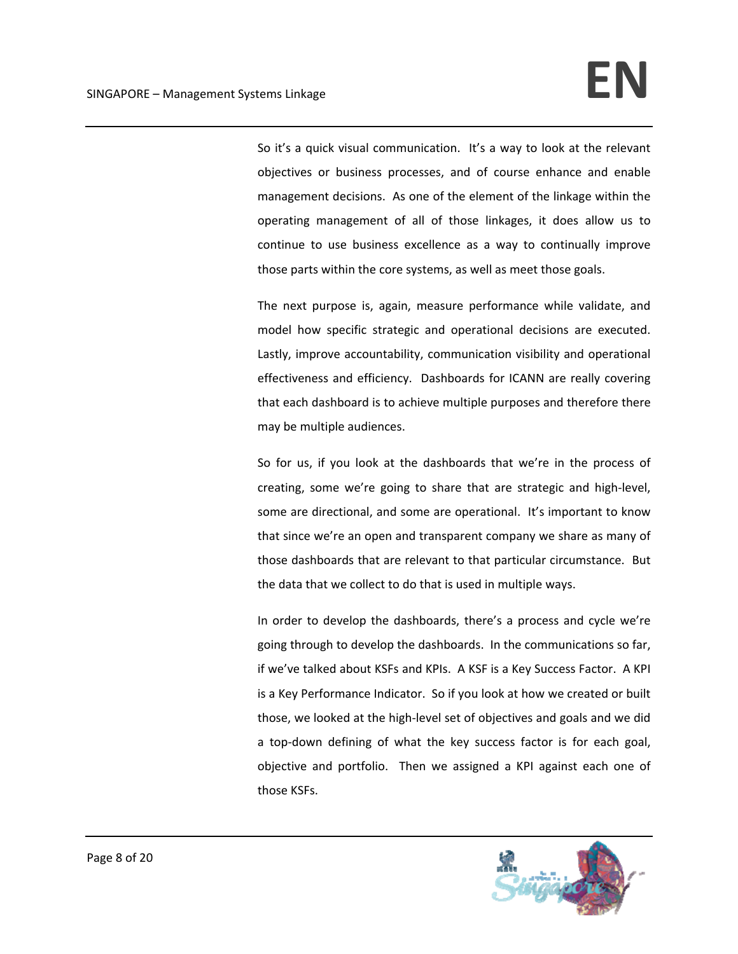So it's a quick visual communication. It's a way to look at the relevant objectives or business processes, and of course enhance and enable management decisions. As one of the element of the linkage within the operating management of all of those linkages, it does allow us to continue to use business excellence as a way to continually improve those parts within the core systems, as well as meet those goals.

The next purpose is, again, measure performance while validate, and model how specific strategic and operational decisions are executed. Lastly, improve accountability, communication visibility and operational effectiveness and efficiency. Dashboards for ICANN are really covering that each dashboard is to achieve multiple purposes and therefore there may be multiple audiences.

So for us, if you look at the dashboards that we're in the process of creating, some we're going to share that are strategic and high‐level, some are directional, and some are operational. It's important to know that since we're an open and transparent company we share as many of those dashboards that are relevant to that particular circumstance. But the data that we collect to do that is used in multiple ways.

In order to develop the dashboards, there's a process and cycle we're going through to develop the dashboards. In the communications so far, if we've talked about KSFs and KPIs. A KSF is a Key Success Factor. A KPI is a Key Performance Indicator. So if you look at how we created or built those, we looked at the high‐level set of objectives and goals and we did a top-down defining of what the key success factor is for each goal, objective and portfolio. Then we assigned a KPI against each one of those KSFs.

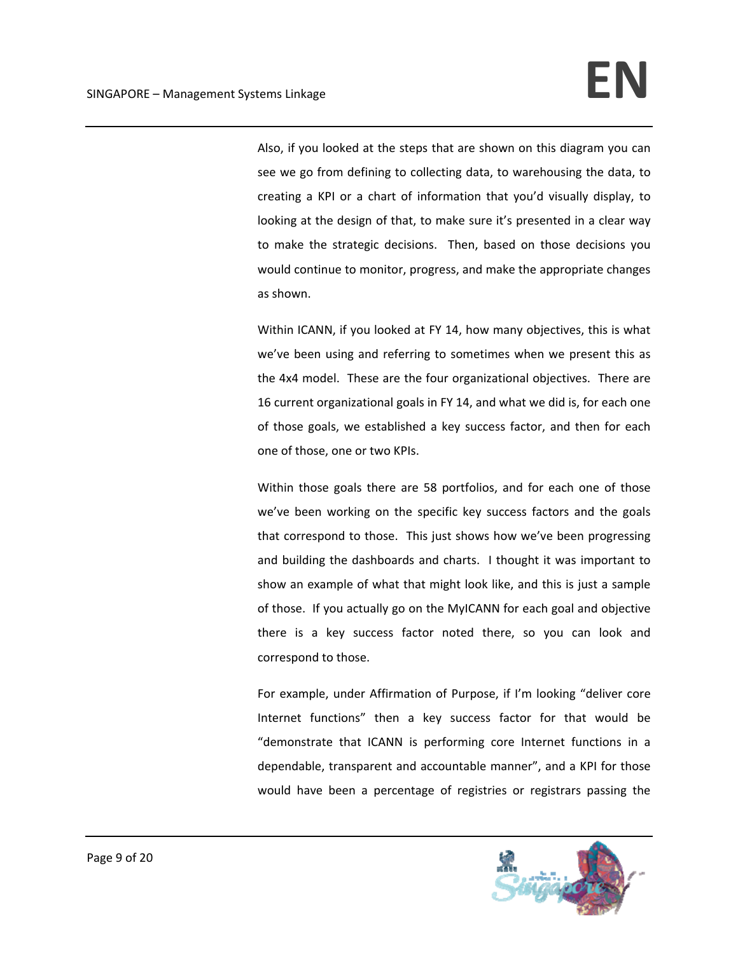Also, if you looked at the steps that are shown on this diagram you can see we go from defining to collecting data, to warehousing the data, to creating a KPI or a chart of information that you'd visually display, to looking at the design of that, to make sure it's presented in a clear way to make the strategic decisions. Then, based on those decisions you would continue to monitor, progress, and make the appropriate changes as shown.

Within ICANN, if you looked at FY 14, how many objectives, this is what we've been using and referring to sometimes when we present this as the 4x4 model. These are the four organizational objectives. There are 16 current organizational goals in FY 14, and what we did is, for each one of those goals, we established a key success factor, and then for each one of those, one or two KPIs.

Within those goals there are 58 portfolios, and for each one of those we've been working on the specific key success factors and the goals that correspond to those. This just shows how we've been progressing and building the dashboards and charts. I thought it was important to show an example of what that might look like, and this is just a sample of those. If you actually go on the MyICANN for each goal and objective there is a key success factor noted there, so you can look and correspond to those.

For example, under Affirmation of Purpose, if I'm looking "deliver core Internet functions" then a key success factor for that would be "demonstrate that ICANN is performing core Internet functions in a dependable, transparent and accountable manner", and a KPI for those would have been a percentage of registries or registrars passing the

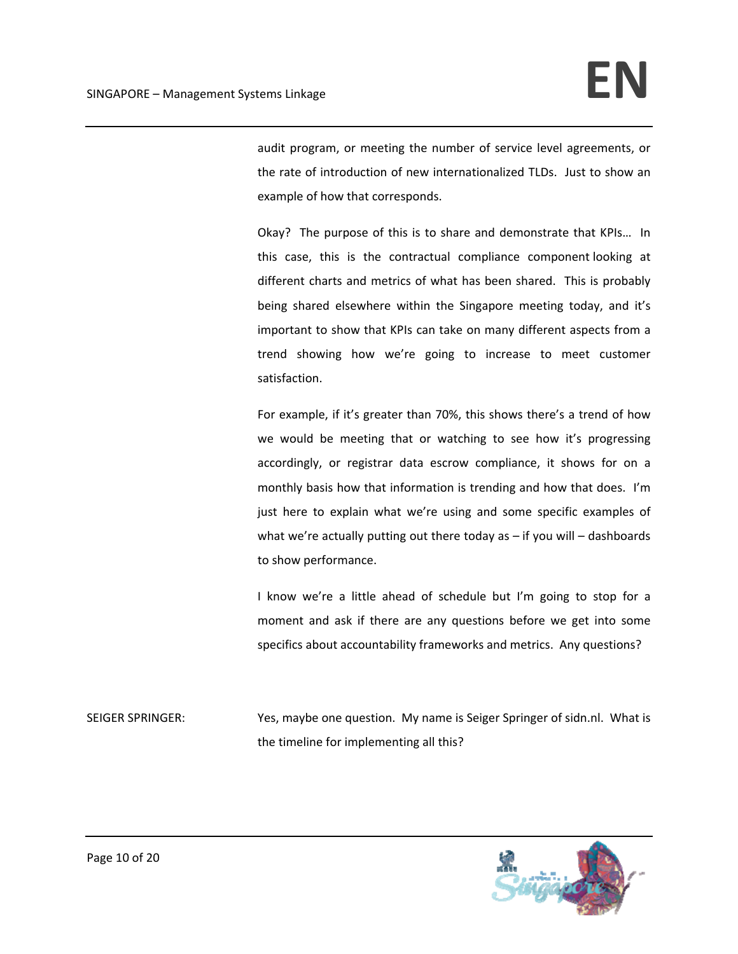audit program, or meeting the number of service level agreements, or the rate of introduction of new internationalized TLDs. Just to show an example of how that corresponds.

Okay? The purpose of this is to share and demonstrate that KPIs… In this case, this is the contractual compliance component looking at different charts and metrics of what has been shared. This is probably being shared elsewhere within the Singapore meeting today, and it's important to show that KPIs can take on many different aspects from a trend showing how we're going to increase to meet customer satisfaction.

For example, if it's greater than 70%, this shows there's a trend of how we would be meeting that or watching to see how it's progressing accordingly, or registrar data escrow compliance, it shows for on a monthly basis how that information is trending and how that does. I'm just here to explain what we're using and some specific examples of what we're actually putting out there today as – if you will – dashboards to show performance.

I know we're a little ahead of schedule but I'm going to stop for a moment and ask if there are any questions before we get into some specifics about accountability frameworks and metrics. Any questions?

SEIGER SPRINGER: Yes, maybe one question. My name is Seiger Springer of sidn.nl. What is the timeline for implementing all this?

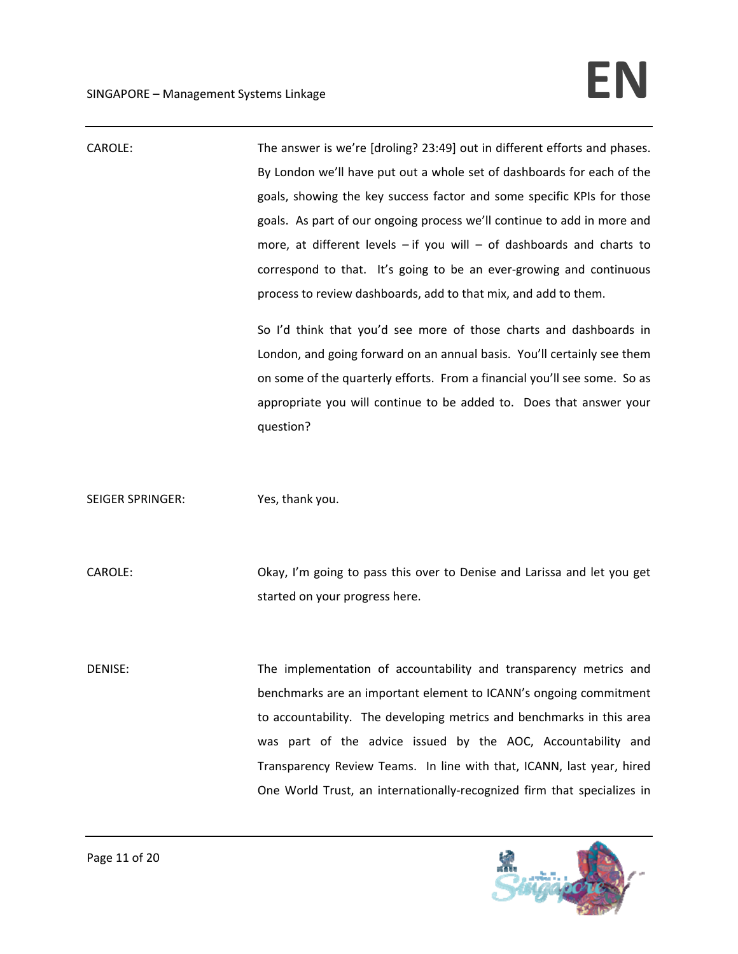| CAROLE:                 | The answer is we're [droling? 23:49] out in different efforts and phases.<br>By London we'll have put out a whole set of dashboards for each of the<br>goals, showing the key success factor and some specific KPIs for those<br>goals. As part of our ongoing process we'll continue to add in more and<br>more, at different levels $-$ if you will $-$ of dashboards and charts to<br>correspond to that. It's going to be an ever-growing and continuous<br>process to review dashboards, add to that mix, and add to them. |
|-------------------------|---------------------------------------------------------------------------------------------------------------------------------------------------------------------------------------------------------------------------------------------------------------------------------------------------------------------------------------------------------------------------------------------------------------------------------------------------------------------------------------------------------------------------------|
|                         | So I'd think that you'd see more of those charts and dashboards in<br>London, and going forward on an annual basis. You'll certainly see them<br>on some of the quarterly efforts. From a financial you'll see some. So as<br>appropriate you will continue to be added to. Does that answer your<br>question?                                                                                                                                                                                                                  |
| <b>SEIGER SPRINGER:</b> | Yes, thank you.                                                                                                                                                                                                                                                                                                                                                                                                                                                                                                                 |
| CAROLE:                 | Okay, I'm going to pass this over to Denise and Larissa and let you get<br>started on your progress here.                                                                                                                                                                                                                                                                                                                                                                                                                       |
| DENISE:                 | The implementation of accountability and transparency metrics and<br>benchmarks are an important element to ICANN's ongoing commitment<br>to accountability. The developing metrics and benchmarks in this area<br>was part of the advice issued by the AOC, Accountability and<br>Transparency Review Teams. In line with that, ICANN, last year, hired<br>One World Trust, an internationally-recognized firm that specializes in                                                                                             |

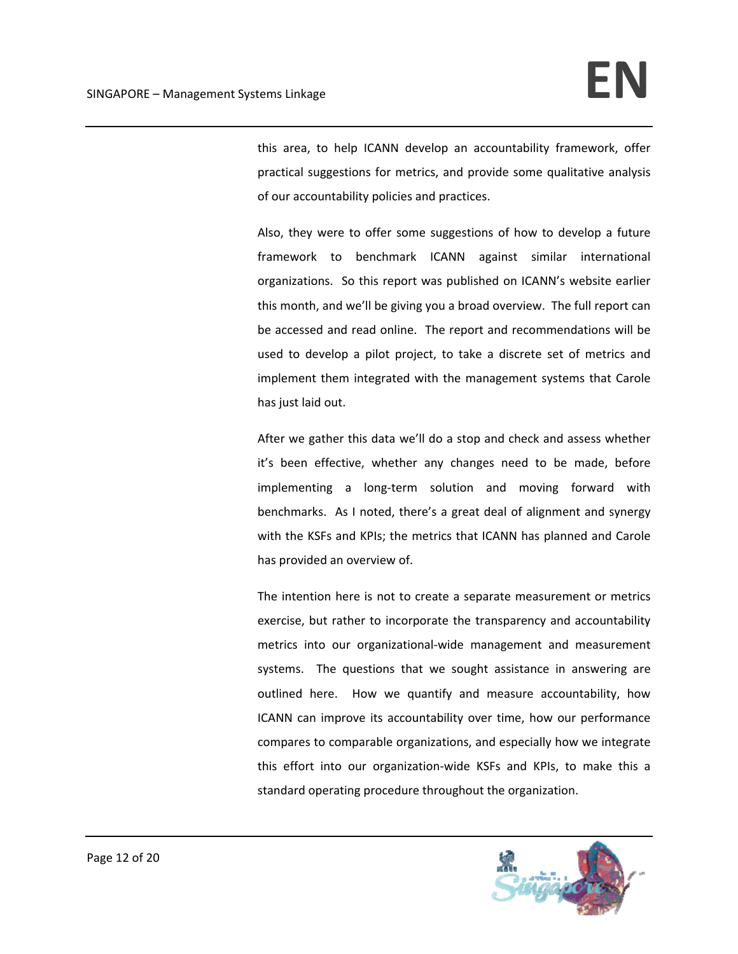this area, to help ICANN develop an accountability framework, offer practical suggestions for metrics, and provide some qualitative analysis of our accountability policies and practices.

Also, they were to offer some suggestions of how to develop a future framework to benchmark ICANN against similar international organizations. So this report was published on ICANN's website earlier this month, and we'll be giving you a broad overview. The full report can be accessed and read online. The report and recommendations will be used to develop a pilot project, to take a discrete set of metrics and implement them integrated with the management systems that Carole has just laid out.

After we gather this data we'll do a stop and check and assess whether it's been effective, whether any changes need to be made, before implementing a long-term solution and moving forward with benchmarks. As I noted, there's a great deal of alignment and synergy with the KSFs and KPIs; the metrics that ICANN has planned and Carole has provided an overview of.

The intention here is not to create a separate measurement or metrics exercise, but rather to incorporate the transparency and accountability metrics into our organizational‐wide management and measurement systems. The questions that we sought assistance in answering are outlined here. How we quantify and measure accountability, how ICANN can improve its accountability over time, how our performance compares to comparable organizations, and especially how we integrate this effort into our organization‐wide KSFs and KPIs, to make this a standard operating procedure throughout the organization.

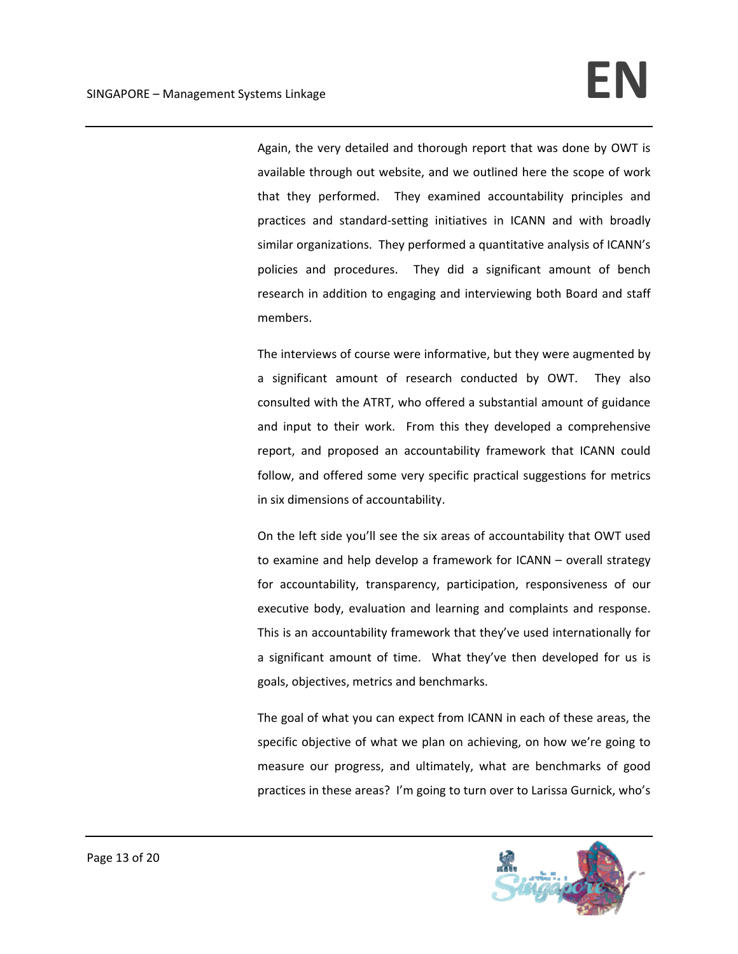Again, the very detailed and thorough report that was done by OWT is available through out website, and we outlined here the scope of work that they performed. They examined accountability principles and practices and standard‐setting initiatives in ICANN and with broadly similar organizations. They performed a quantitative analysis of ICANN's policies and procedures. They did a significant amount of bench research in addition to engaging and interviewing both Board and staff members.

The interviews of course were informative, but they were augmented by a significant amount of research conducted by OWT. They also consulted with the ATRT, who offered a substantial amount of guidance and input to their work. From this they developed a comprehensive report, and proposed an accountability framework that ICANN could follow, and offered some very specific practical suggestions for metrics in six dimensions of accountability.

On the left side you'll see the six areas of accountability that OWT used to examine and help develop a framework for ICANN – overall strategy for accountability, transparency, participation, responsiveness of our executive body, evaluation and learning and complaints and response. This is an accountability framework that they've used internationally for a significant amount of time. What they've then developed for us is goals, objectives, metrics and benchmarks.

The goal of what you can expect from ICANN in each of these areas, the specific objective of what we plan on achieving, on how we're going to measure our progress, and ultimately, what are benchmarks of good practices in these areas? I'm going to turn over to Larissa Gurnick, who's

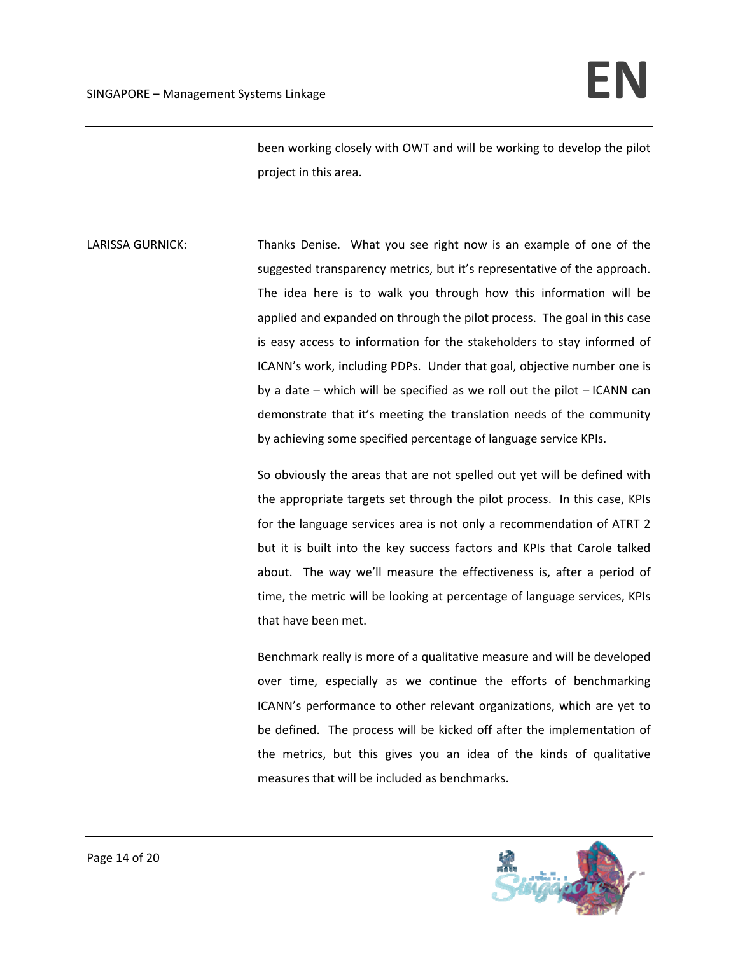been working closely with OWT and will be working to develop the pilot project in this area.

LARISSA GURNICK: Thanks Denise. What you see right now is an example of one of the suggested transparency metrics, but it's representative of the approach. The idea here is to walk you through how this information will be applied and expanded on through the pilot process. The goal in this case is easy access to information for the stakeholders to stay informed of ICANN's work, including PDPs. Under that goal, objective number one is by a date – which will be specified as we roll out the pilot – ICANN can demonstrate that it's meeting the translation needs of the community by achieving some specified percentage of language service KPIs.

> So obviously the areas that are not spelled out yet will be defined with the appropriate targets set through the pilot process. In this case, KPIs for the language services area is not only a recommendation of ATRT 2 but it is built into the key success factors and KPIs that Carole talked about. The way we'll measure the effectiveness is, after a period of time, the metric will be looking at percentage of language services, KPIs that have been met.

> Benchmark really is more of a qualitative measure and will be developed over time, especially as we continue the efforts of benchmarking ICANN's performance to other relevant organizations, which are yet to be defined. The process will be kicked off after the implementation of the metrics, but this gives you an idea of the kinds of qualitative measures that will be included as benchmarks.

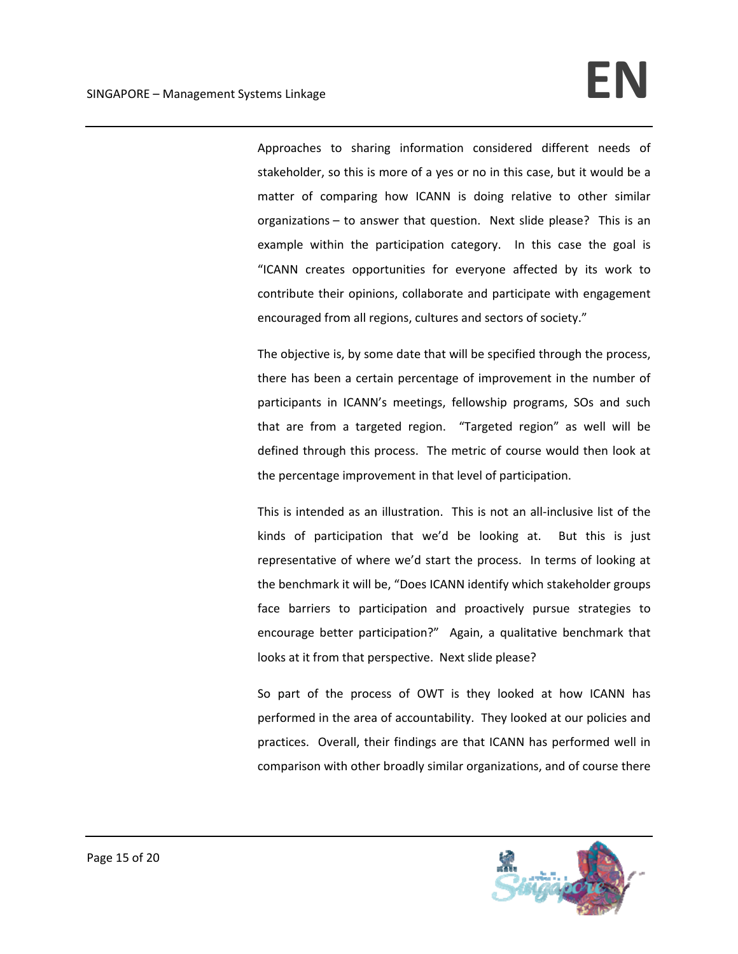Approaches to sharing information considered different needs of stakeholder, so this is more of a yes or no in this case, but it would be a matter of comparing how ICANN is doing relative to other similar organizations – to answer that question. Next slide please? This is an example within the participation category. In this case the goal is "ICANN creates opportunities for everyone affected by its work to contribute their opinions, collaborate and participate with engagement encouraged from all regions, cultures and sectors of society."

The objective is, by some date that will be specified through the process, there has been a certain percentage of improvement in the number of participants in ICANN's meetings, fellowship programs, SOs and such that are from a targeted region. "Targeted region" as well will be defined through this process. The metric of course would then look at the percentage improvement in that level of participation.

This is intended as an illustration. This is not an all‐inclusive list of the kinds of participation that we'd be looking at. But this is just representative of where we'd start the process. In terms of looking at the benchmark it will be, "Does ICANN identify which stakeholder groups face barriers to participation and proactively pursue strategies to encourage better participation?" Again, a qualitative benchmark that looks at it from that perspective. Next slide please?

So part of the process of OWT is they looked at how ICANN has performed in the area of accountability. They looked at our policies and practices. Overall, their findings are that ICANN has performed well in comparison with other broadly similar organizations, and of course there

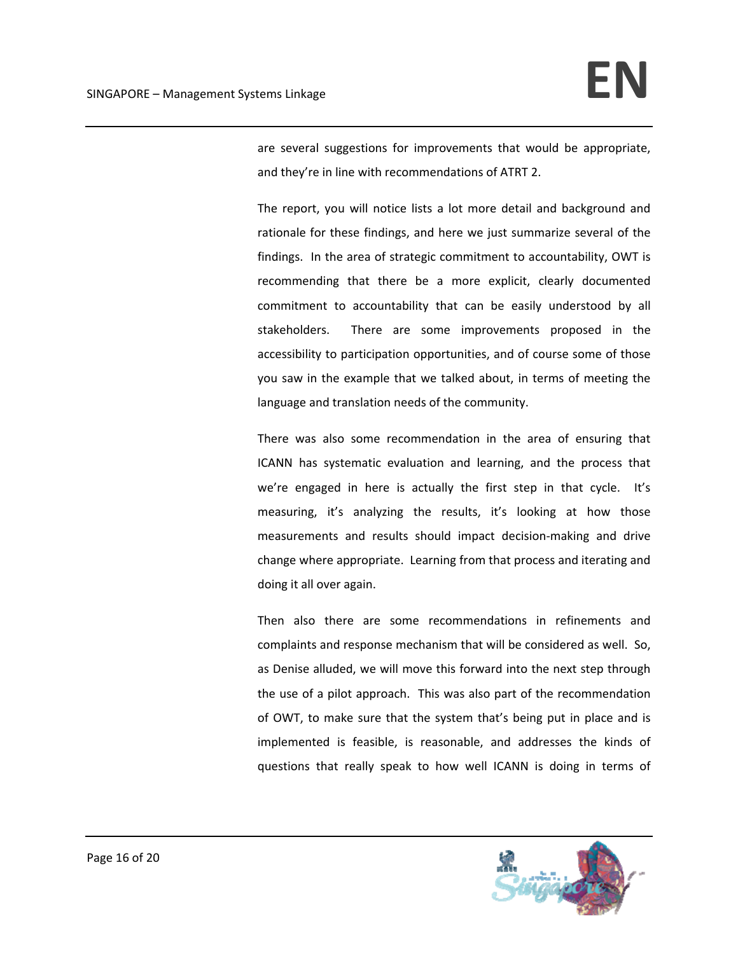are several suggestions for improvements that would be appropriate, and they're in line with recommendations of ATRT 2.

The report, you will notice lists a lot more detail and background and rationale for these findings, and here we just summarize several of the findings. In the area of strategic commitment to accountability, OWT is recommending that there be a more explicit, clearly documented commitment to accountability that can be easily understood by all stakeholders. There are some improvements proposed in the accessibility to participation opportunities, and of course some of those you saw in the example that we talked about, in terms of meeting the language and translation needs of the community.

There was also some recommendation in the area of ensuring that ICANN has systematic evaluation and learning, and the process that we're engaged in here is actually the first step in that cycle. It's measuring, it's analyzing the results, it's looking at how those measurements and results should impact decision‐making and drive change where appropriate. Learning from that process and iterating and doing it all over again.

Then also there are some recommendations in refinements and complaints and response mechanism that will be considered as well. So, as Denise alluded, we will move this forward into the next step through the use of a pilot approach. This was also part of the recommendation of OWT, to make sure that the system that's being put in place and is implemented is feasible, is reasonable, and addresses the kinds of questions that really speak to how well ICANN is doing in terms of

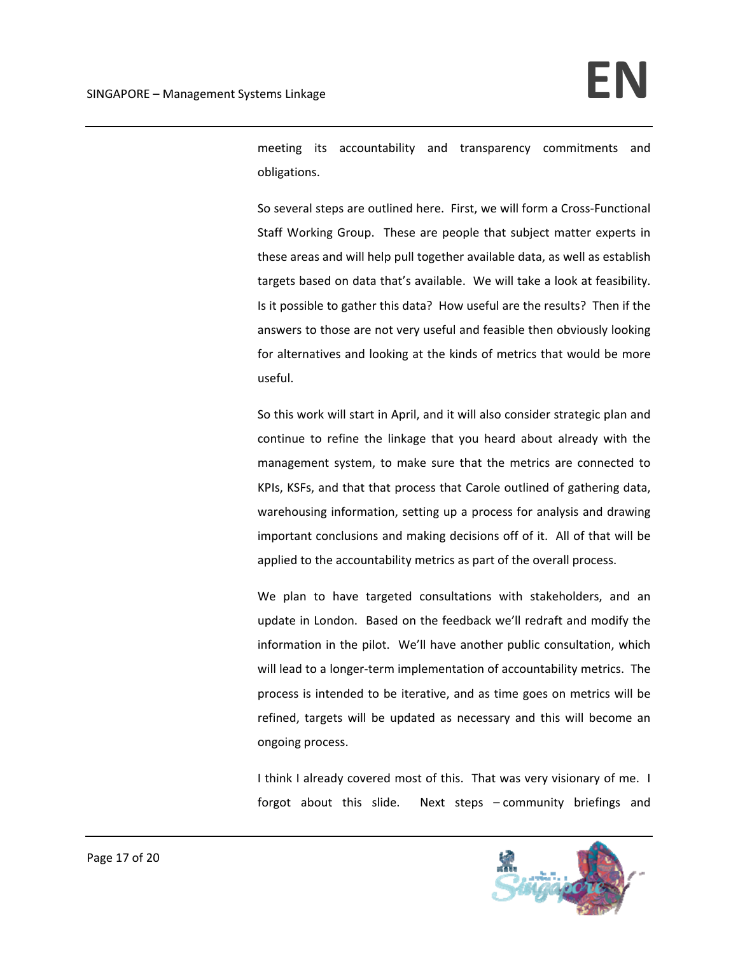meeting its accountability and transparency commitments and obligations.

So several steps are outlined here. First, we will form a Cross-Functional Staff Working Group. These are people that subject matter experts in these areas and will help pull together available data, as well as establish targets based on data that's available. We will take a look at feasibility. Is it possible to gather this data? How useful are the results? Then if the answers to those are not very useful and feasible then obviously looking for alternatives and looking at the kinds of metrics that would be more useful.

So this work will start in April, and it will also consider strategic plan and continue to refine the linkage that you heard about already with the management system, to make sure that the metrics are connected to KPIs, KSFs, and that that process that Carole outlined of gathering data, warehousing information, setting up a process for analysis and drawing important conclusions and making decisions off of it. All of that will be applied to the accountability metrics as part of the overall process.

We plan to have targeted consultations with stakeholders, and an update in London. Based on the feedback we'll redraft and modify the information in the pilot. We'll have another public consultation, which will lead to a longer-term implementation of accountability metrics. The process is intended to be iterative, and as time goes on metrics will be refined, targets will be updated as necessary and this will become an ongoing process.

I think I already covered most of this. That was very visionary of me. I forgot about this slide. Next steps – community briefings and

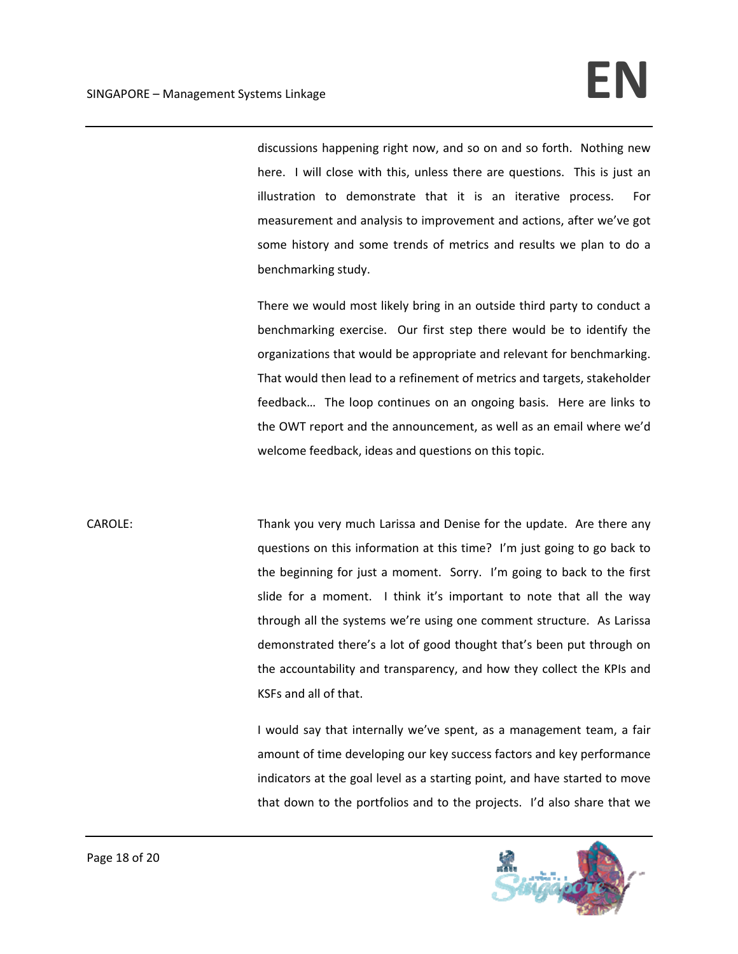discussions happening right now, and so on and so forth. Nothing new here. I will close with this, unless there are questions. This is just an illustration to demonstrate that it is an iterative process. For measurement and analysis to improvement and actions, after we've got some history and some trends of metrics and results we plan to do a benchmarking study.

There we would most likely bring in an outside third party to conduct a benchmarking exercise. Our first step there would be to identify the organizations that would be appropriate and relevant for benchmarking. That would then lead to a refinement of metrics and targets, stakeholder feedback… The loop continues on an ongoing basis. Here are links to the OWT report and the announcement, as well as an email where we'd welcome feedback, ideas and questions on this topic.

CAROLE: Thank you very much Larissa and Denise for the update. Are there any questions on this information at this time? I'm just going to go back to the beginning for just a moment. Sorry. I'm going to back to the first slide for a moment. I think it's important to note that all the way through all the systems we're using one comment structure. As Larissa demonstrated there's a lot of good thought that's been put through on the accountability and transparency, and how they collect the KPIs and KSFs and all of that.

> I would say that internally we've spent, as a management team, a fair amount of time developing our key success factors and key performance indicators at the goal level as a starting point, and have started to move that down to the portfolios and to the projects. I'd also share that we

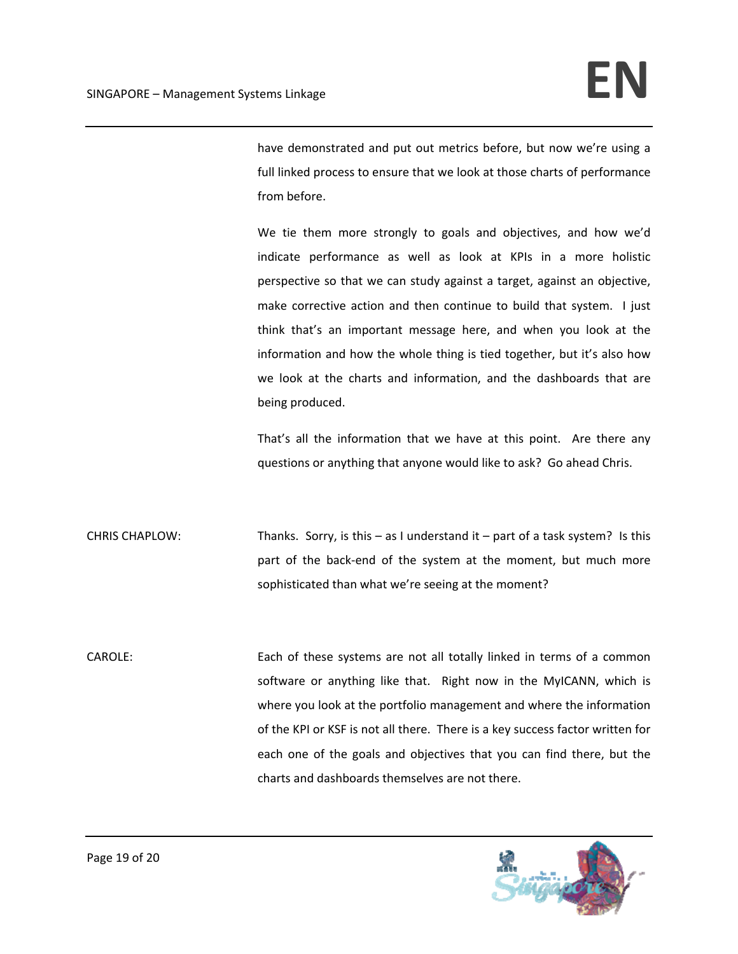have demonstrated and put out metrics before, but now we're using a full linked process to ensure that we look at those charts of performance from before.

We tie them more strongly to goals and objectives, and how we'd indicate performance as well as look at KPIs in a more holistic perspective so that we can study against a target, against an objective, make corrective action and then continue to build that system. I just think that's an important message here, and when you look at the information and how the whole thing is tied together, but it's also how we look at the charts and information, and the dashboards that are being produced.

That's all the information that we have at this point. Are there any questions or anything that anyone would like to ask? Go ahead Chris.

CHRIS CHAPLOW: Thanks. Sorry, is this – as I understand it – part of a task system? Is this part of the back‐end of the system at the moment, but much more sophisticated than what we're seeing at the moment?

CAROLE: Each of these systems are not all totally linked in terms of a common software or anything like that. Right now in the MyICANN, which is where you look at the portfolio management and where the information of the KPI or KSF is not all there. There is a key success factor written for each one of the goals and objectives that you can find there, but the charts and dashboards themselves are not there.